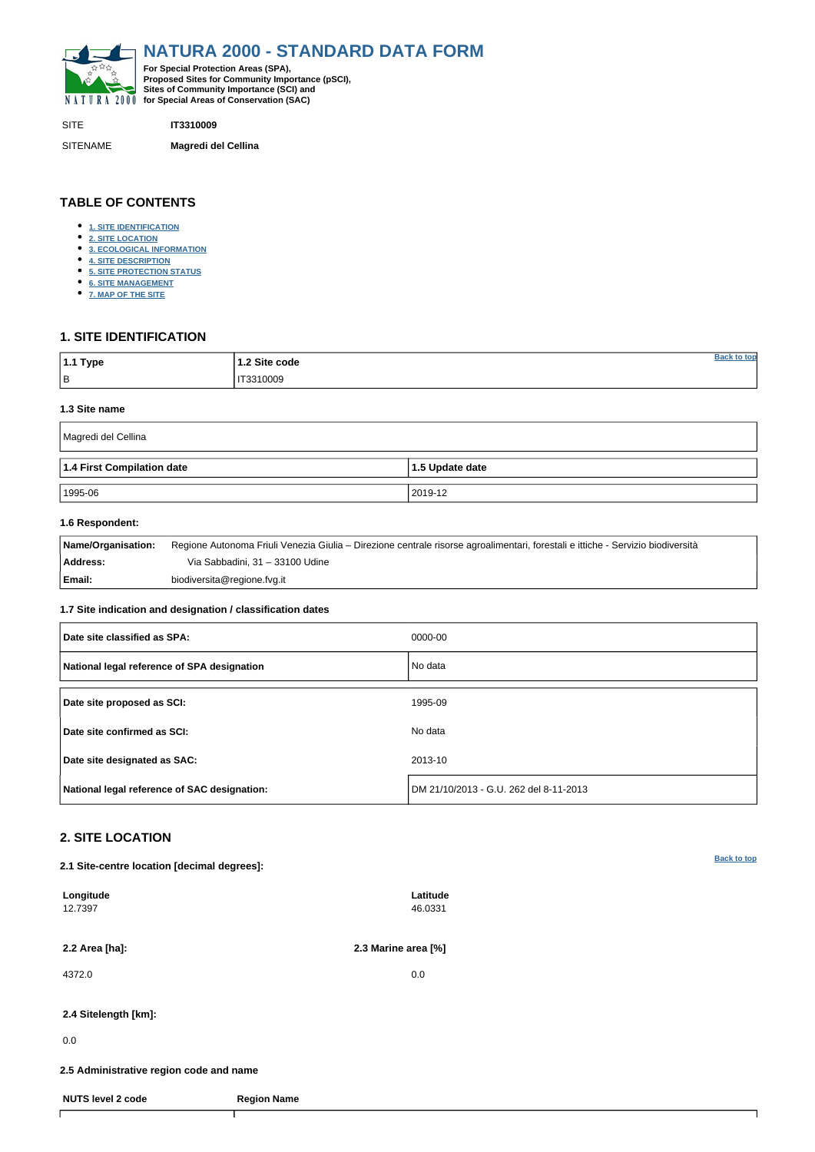<span id="page-0-0"></span>

SITE **IT3310009**

SITENAME **Magredi del Cellina**

| <sup>∣</sup> 1.1 Type | 1.2 Site code | tor |
|-----------------------|---------------|-----|
| B                     | IT3310009     |     |

### **TABLE OF CONTENTS**

- **[1. SITE IDENTIFICATION](#page-0-1)**
- **[2. SITE LOCATION](#page-0-2)**
- **[3. ECOLOGICAL INFORMATION](#page-1-0)**
- **[4. SITE DESCRIPTION](#page-3-0)**
- **[5. SITE PROTECTION STATUS](#page-5-0)**
- **[6. SITE MANAGEMENT](#page-5-1)**
- **[7. MAP OF THE SITE](#page-6-0)**

## <span id="page-0-1"></span>**1. SITE IDENTIFICATION**

### **1.3 Site name**

| Magredi del Cellina        |                 |
|----------------------------|-----------------|
| 1.4 First Compilation date | 1.5 Update date |
| 1995-06                    | 2019-12         |

### **1.6 Respondent:**

| Name/Organisation: | Regione Autonoma Friuli Venezia Giulia – Direzione centrale risorse agroalimentari, forestali e ittiche - Servizio biodiversità |
|--------------------|---------------------------------------------------------------------------------------------------------------------------------|
| Address:           | Via Sabbadini, 31 – 33100 Udine                                                                                                 |
| Email:             | biodiversita@regione.fvg.it                                                                                                     |

### **1.7 Site indication and designation / classification dates**

| Date site classified as SPA:                 | 0000-00                                |
|----------------------------------------------|----------------------------------------|
| National legal reference of SPA designation  | No data                                |
| Date site proposed as SCI:                   | 1995-09                                |
| Date site confirmed as SCI:                  | No data                                |
| Date site designated as SAC:                 | 2013-10                                |
| National legal reference of SAC designation: | DM 21/10/2013 - G.U. 262 del 8-11-2013 |

## <span id="page-0-2"></span>**2. SITE LOCATION**

**2.1 Site-centre location [decimal degrees]:**

| 2.2 Area [ha]:<br>4372.0<br>2.4 Sitelength [km]:<br>0.0<br>2.5 Administrative region code and name | 2.3 Marine area [%] |
|----------------------------------------------------------------------------------------------------|---------------------|
|                                                                                                    |                     |
|                                                                                                    | 0.0                 |
|                                                                                                    |                     |
|                                                                                                    |                     |
|                                                                                                    |                     |
| <b>NUTS level 2 code</b><br><b>Region Name</b>                                                     |                     |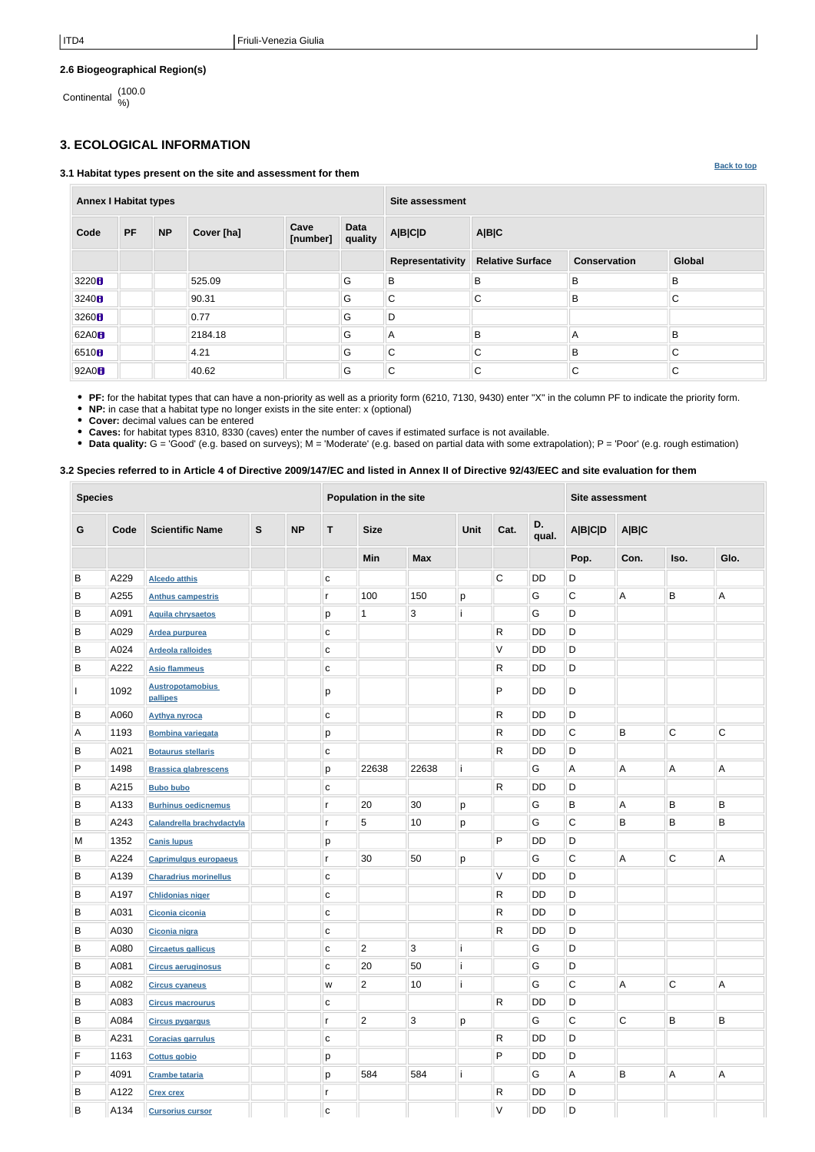**[Back to top](#page-0-0)**

### **2.6 Biogeographical Region(s)**

Continental (100.0 %)

# <span id="page-1-0"></span>**3. ECOLOGICAL INFORMATION**

#### **3.1 Habitat types present on the site and assessment for them**

| <b>Annex I Habitat types</b> |           |           |            |                  |                        | <b>Site assessment</b> |                         |                     |              |  |  |  |
|------------------------------|-----------|-----------|------------|------------------|------------------------|------------------------|-------------------------|---------------------|--------------|--|--|--|
| Code                         | <b>PF</b> | <b>NP</b> | Cover [ha] | Cave<br>[number] | <b>Data</b><br>quality | <b>A B C D</b>         | A B C                   |                     |              |  |  |  |
|                              |           |           |            |                  |                        | Representativity       | <b>Relative Surface</b> | <b>Conservation</b> | Global       |  |  |  |
| 3220 <sup>h</sup>            |           |           | 525.09     |                  | G                      | B                      | B                       | B                   | B            |  |  |  |
| 3240 <sub>0</sub>            |           |           | 90.31      |                  | G                      | $\mathsf C$            | $\mathsf{C}$            | B                   | $\mathsf{C}$ |  |  |  |
| 3260H                        |           |           | 0.77       |                  | G                      | D                      |                         |                     |              |  |  |  |
| 62A0 <sub>8</sub>            |           |           | 2184.18    |                  | G                      | $\overline{A}$         | B                       | Α                   | B            |  |  |  |
| 6510 <sub>B</sub>            |           |           | 4.21       |                  | G                      | C                      | $\mathsf{C}$            | B                   | $\mathsf{C}$ |  |  |  |
| 92A0 <sub>8</sub>            |           |           | 40.62      |                  | G                      | $\mathsf C$            | $\mathsf{C}$            | $\mathsf C$         | $\mathsf{C}$ |  |  |  |

**PF:** for the habitat types that can have a non-priority as well as a priority form (6210, 7130, 9430) enter "X" in the column PF to indicate the priority form.

**NP:** in case that a habitat type no longer exists in the site enter: x (optional)

**Cover:** decimal values can be entered

**Caves:** for habitat types 8310, 8330 (caves) enter the number of caves if estimated surface is not available.

**Data quality:** G = 'Good' (e.g. based on surveys); M = 'Moderate' (e.g. based on partial data with some extrapolation); P = 'Poor' (e.g. rough estimation)

### **3.2 Species referred to in Article 4 of Directive 2009/147/EC and listed in Annex II of Directive 92/43/EEC and site evaluation for them**

| <b>Species</b> |      |                                     | Population in the site |           |              |                |                | <b>Site assessment</b> |              |             |                |                |              |              |
|----------------|------|-------------------------------------|------------------------|-----------|--------------|----------------|----------------|------------------------|--------------|-------------|----------------|----------------|--------------|--------------|
| G              | Code | <b>Scientific Name</b>              | ${\bf S}$              | <b>NP</b> | $\mathbf{T}$ | <b>Size</b>    |                | Unit                   | Cat.         | D.<br>qual. | A B C D        | A B C          |              |              |
|                |      |                                     |                        |           |              | <b>Min</b>     | <b>Max</b>     |                        |              |             | Pop.           | Con.           | Iso.         | Glo.         |
| B              | A229 | <b>Alcedo atthis</b>                |                        |           | $\mathbf C$  |                |                |                        | $\mathsf C$  | DD          | D              |                |              |              |
| B              | A255 | <b>Anthus campestris</b>            |                        |           | r            | 100            | 150            | p                      |              | G           | C              | $\overline{A}$ | B            | A            |
| B              | A091 | <b>Aquila chrysaetos</b>            |                        |           | p            | $\mathbf{1}$   | $\mathfrak{S}$ |                        |              | G           | D              |                |              |              |
| B              | A029 | Ardea purpurea                      |                        |           | $\mathbf{C}$ |                |                |                        | R            | <b>DD</b>   | D              |                |              |              |
| B              | A024 | <b>Ardeola ralloides</b>            |                        |           | $\mathbf C$  |                |                |                        | V            | DD          | D              |                |              |              |
| B              | A222 | <b>Asio flammeus</b>                |                        |           | $\mathbf{C}$ |                |                |                        | R            | DD          | D              |                |              |              |
|                | 1092 | <b>Austropotamobius</b><br>pallipes |                        |           | р            |                |                |                        | P            | DD          | D              |                |              |              |
| B              | A060 | <b>Aythya nyroca</b>                |                        |           | $\mathbf{C}$ |                |                |                        | R            | DD          | D              |                |              |              |
| Α              | 1193 | <b>Bombina variegata</b>            |                        |           | р            |                |                |                        | R            | DD          | $\mathsf C$    | B              | $\mathsf C$  | $\mathsf C$  |
| B              | A021 | <b>Botaurus stellaris</b>           |                        |           | C            |                |                |                        | R            | DD          | $\mathsf D$    |                |              |              |
| P              | 1498 | <b>Brassica glabrescens</b>         |                        |           | р            | 22638          | 22638          | j                      |              | G           | $\overline{A}$ | $\mathsf A$    | Α            | A            |
| B              | A215 | <b>Bubo bubo</b>                    |                        |           | $\mathbf C$  |                |                |                        | $\mathsf{R}$ | DD          | D              |                |              |              |
| B              | A133 | <b>Burhinus oedicnemus</b>          |                        |           | r            | 20             | 30             | p                      |              | G           | B              | A              | В            | B            |
| B              | A243 | Calandrella brachydactyla           |                        |           | r            | $\sqrt{5}$     | 10             | p                      |              | G           | $\mathsf C$    | B              | B            | $\sf B$      |
| M              | 1352 | <b>Canis lupus</b>                  |                        |           | р            |                |                |                        | P            | DD          | D              |                |              |              |
| B              | A224 | <b>Caprimulgus europaeus</b>        |                        |           | r            | 30             | 50             | p                      |              | G           | $\mathsf C$    | A              | $\mathsf C$  | A            |
| B              | A139 | <b>Charadrius morinellus</b>        |                        |           | $\mathbf C$  |                |                |                        | V            | DD          | D              |                |              |              |
| В              | A197 | <b>Chlidonias niger</b>             |                        |           | $\mathbf C$  |                |                |                        | R            | <b>DD</b>   | D              |                |              |              |
| B              | A031 | Ciconia ciconia                     |                        |           | $\mathbf C$  |                |                |                        | R            | <b>DD</b>   | D              |                |              |              |
| B              | A030 | Ciconia nigra                       |                        |           | ${\bf C}$    |                |                |                        | $\mathsf{R}$ | DD          | D              |                |              |              |
| B              | A080 | <b>Circaetus gallicus</b>           |                        |           | C            | $\overline{2}$ | $\overline{3}$ | li.                    |              | G           | D              |                |              |              |
| B              | A081 | <b>Circus aeruginosus</b>           |                        |           | C            | 20             | 50             | j                      |              | G           | D              |                |              |              |
| B              | A082 | <b>Circus cyaneus</b>               |                        |           | W            | $\overline{2}$ | 10             |                        |              | G           | $\overline{C}$ | $\overline{A}$ | $\mathsf{C}$ | $\mathsf{A}$ |
| B              | A083 | <b>Circus macrourus</b>             |                        |           | C            |                |                |                        | $\mathsf{R}$ | DD          | D              |                |              |              |
| B              | A084 | <b>Circus pygargus</b>              |                        |           | $\mathsf{r}$ | $\overline{2}$ | $\mathbf{3}$   | p                      |              | G           | $\overline{C}$ | $\overline{C}$ | $\mathsf B$  | B            |
| B              | A231 | <b>Coracias garrulus</b>            |                        |           | C            |                |                |                        | R            | DD          | D              |                |              |              |
| F              | 1163 | <b>Cottus gobio</b>                 |                        |           | p            |                |                |                        | P            | DD          | D              |                |              |              |
| P              | 4091 | <b>Crambe tataria</b>               |                        |           | p            | 584            | 584            |                        |              | G           | $\overline{A}$ | B              | A            | $\mathsf{A}$ |
| B              | A122 | <b>Crex crex</b>                    |                        |           | r            |                |                |                        | $\mathsf{R}$ | DD          | D              |                |              |              |
| B              | A134 | <b>Cursorius cursor</b>             |                        |           | C            |                |                |                        | V            | DD          | D              |                |              |              |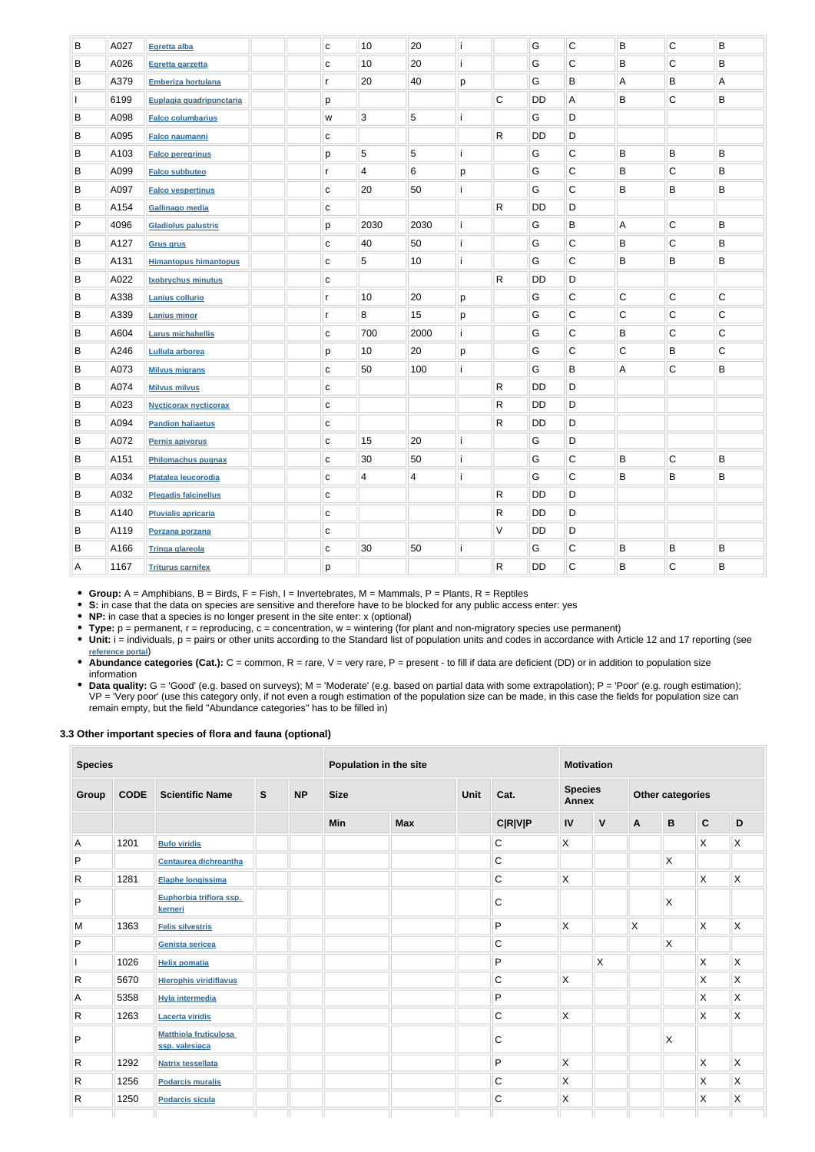| B       | A027 | Egretta alba                 | C            | 10                       | 20             |   |              | ${\mathsf G}$ | $\mathbf C$  | B | $\mathsf C$ | B           |
|---------|------|------------------------------|--------------|--------------------------|----------------|---|--------------|---------------|--------------|---|-------------|-------------|
| B       | A026 | Egretta garzetta             | С            | 10                       | 20             |   |              | G             | $\mathsf C$  | B | ${\bf C}$   | B           |
| B       | A379 | <b>Emberiza hortulana</b>    | r            | 20                       | 40             | p |              | G             | B            | А | $\sf B$     | A           |
|         | 6199 | Euplagia quadripunctaria     | р            |                          |                |   | $\mathsf C$  | DD            | Α            | B | $\mathsf C$ | B           |
| B       | A098 | <b>Falco columbarius</b>     | W            | 3                        | $\sqrt{5}$     |   |              | G             | D            |   |             |             |
| B       | A095 | <b>Falco naumanni</b>        | С            |                          |                |   | $\mathsf R$  | <b>DD</b>     | D            |   |             |             |
| B       | A103 | <b>Falco peregrinus</b>      | р            | 5                        | 5              |   |              | G             | $\mathsf C$  | B | B           | B           |
| B       | A099 | <b>Falco subbuteo</b>        | r            | $\overline{\mathcal{A}}$ | 6              | р |              | G             | $\mathsf C$  | B | ${\bf C}$   | B           |
| B       | A097 | <b>Falco vespertinus</b>     | $\mathbf{C}$ | 20                       | 50             |   |              | G             | $\mathbf C$  | B | $\sf B$     | B           |
| B       | A154 | Gallinago media              | $\mathbf C$  |                          |                |   | $\mathsf R$  | <b>DD</b>     | D            |   |             |             |
| P       | 4096 | <b>Gladiolus palustris</b>   | р            | 2030                     | 2030           | i |              | G             | B            | A | $\mathsf C$ | $\sf B$     |
| B       | A127 | <b>Grus grus</b>             | С            | 40                       | 50             |   |              | G             | $\mathsf C$  | B | $\mathsf C$ | B           |
| B       | A131 | <b>Himantopus himantopus</b> | $\mathbf C$  | 5                        | 10             |   |              | G             | $\mathbf C$  | B | $\sf B$     | B           |
| B       | A022 | Ixobrychus minutus           | $\mathbf{C}$ |                          |                |   | $\mathsf{R}$ | DD            | D            |   |             |             |
| B       | A338 | <b>Lanius collurio</b>       | r            | 10                       | 20             | р |              | G             | $\mathbf C$  | C | $\mathsf C$ | $\mathsf C$ |
| B       | A339 | <b>Lanius minor</b>          | r            | 8                        | 15             | р |              | G             | $\mathsf C$  | C | $\mathsf C$ | $\mathsf C$ |
| B       | A604 | <b>Larus michahellis</b>     | $\mathbf C$  | 700                      | 2000           |   |              | G             | $\mathsf C$  | B | $\mathsf C$ | $\mathsf C$ |
| B       | A246 | Lullula arborea              | р            | 10                       | 20             | р |              | G             | $\mathsf C$  | C | B           | С           |
| B       | A073 | <b>Milvus migrans</b>        | $\mathbf{C}$ | 50                       | 100            |   |              | G             | B            | А | ${\bf C}$   | B           |
| B       | A074 | <b>Milvus milvus</b>         | $\mathbf C$  |                          |                |   | $\mathsf{R}$ | DD            | D            |   |             |             |
| B       | A023 | <b>Nycticorax nycticorax</b> | $\mathbf C$  |                          |                |   | $\mathsf{R}$ | DD            | D            |   |             |             |
| B       | A094 | <b>Pandion haliaetus</b>     | $\mathbf C$  |                          |                |   | $\mathsf{R}$ | DD            | D            |   |             |             |
| B       | A072 | <b>Pernis apivorus</b>       | С            | 15                       | 20             |   |              | G             | D            |   |             |             |
| B       | A151 | Philomachus pugnax           | $\mathbf C$  | 30                       | 50             |   |              | G             | $\mathsf C$  | B | $\mathsf C$ | B           |
| $\sf B$ | A034 | Platalea leucorodia          | ${\bf c}$    | $\overline{4}$           | $\overline{4}$ | i |              | G             | $\mathsf{C}$ | B | B           | B           |
| B       | A032 | <b>Plegadis falcinellus</b>  | C            |                          |                |   | $\mathsf{R}$ | <b>DD</b>     | D            |   |             |             |
| B       | A140 | <b>Pluvialis apricaria</b>   | C            |                          |                |   | $\mathsf{R}$ | <b>DD</b>     | D            |   |             |             |
| B       | A119 | Porzana porzana              | C            |                          |                |   | $\vee$       | <b>DD</b>     | D            |   |             |             |
| $\sf B$ | A166 | <b>Tringa glareola</b>       | C            | 30                       | 50             |   |              | G             | $\mathsf{C}$ | B | B           | B           |
| A       | 1167 | <b>Triturus carnifex</b>     | p            |                          |                |   | $\mathsf{R}$ | DD            | $\mathbf C$  | B | $\mathsf C$ | B           |
|         |      |                              |              |                          |                |   |              |               |              |   |             |             |

• Unit: i = individuals, p = pairs or other units according to the Standard list of population units and codes in accordance with Article 12 and 17 reporting (see **[reference portal](http://bd.eionet.europa.eu/activities/Natura_2000/reference_portal)**)

• Abundance categories (Cat.): C = common, R = rare, V = very rare, P = present - to fill if data are deficient (DD) or in addition to population size information

• Data quality: G = 'Good' (e.g. based on surveys); M = 'Moderate' (e.g. based on partial data with some extrapolation); P = 'Poor' (e.g. rough estimation); VP = 'Very poor' (use this category only, if not even a rough estimation of the population size can be made, in this case the fields for population size can remain empty, but the field "Abundance categories" has to be filled in)

**Group:** A = Amphibians, B = Birds, F = Fish, I = Invertebrates, M = Mammals, P = Plants, R = Reptiles

**S:** in case that the data on species are sensitive and therefore have to be blocked for any public access enter: yes

**NP:** in case that a species is no longer present in the site enter: x (optional)

**Type:** p = permanent, r = reproducing, c = concentration, w = wintering (for plant and non-migratory species use permanent)

#### **3.3 Other important species of flora and fauna (optional)**

| <b>Species</b> |             |                                                |  |  | Population in the site |            |  |                | <b>Motivation</b>       |              |                         |                           |                         |                                |  |                  |  |  |
|----------------|-------------|------------------------------------------------|--|--|------------------------|------------|--|----------------|-------------------------|--------------|-------------------------|---------------------------|-------------------------|--------------------------------|--|------------------|--|--|
| Group          | <b>CODE</b> | <b>Scientific Name</b>                         |  |  |                        |            |  | $\mathbf{s}$   | <b>NP</b>               | <b>Size</b>  |                         | Unit                      | Cat.                    | <b>Species</b><br><b>Annex</b> |  | Other categories |  |  |
|                |             |                                                |  |  | <b>Min</b>             | <b>Max</b> |  | <b>C R V P</b> | $\mathsf{IV}$           | $\mathsf{V}$ | $\overline{\mathsf{A}}$ | $\, {\bf B}$              | $\mathbf C$             | $\mathsf D$                    |  |                  |  |  |
| A              | 1201        | <b>Bufo viridis</b>                            |  |  |                        |            |  | $\mathbf C$    | $\mathsf{X}$            |              |                         |                           | X.                      | $\mathsf{X}$                   |  |                  |  |  |
| P              |             | Centaurea dichroantha                          |  |  |                        |            |  | $\mathsf C$    |                         |              |                         | $\boldsymbol{\mathsf{X}}$ |                         |                                |  |                  |  |  |
| $\mathsf{R}$   | 1281        | Elaphe longissima                              |  |  |                        |            |  | $\mathsf C$    | $\mathsf{X}$            |              |                         |                           | X.                      | $\mathsf{X}$                   |  |                  |  |  |
| P              |             | Euphorbia triflora ssp.<br>kerneri             |  |  |                        |            |  | $\mathsf C$    |                         |              |                         | $\mathsf{X}$              |                         |                                |  |                  |  |  |
| M              | 1363        | <b>Felis silvestris</b>                        |  |  |                        |            |  | P              | $\mathsf{\overline{X}}$ |              | X                       |                           | $\sf X$                 | $\mathsf{X}$                   |  |                  |  |  |
| P              |             | Genista sericea                                |  |  |                        |            |  | C              |                         |              |                         | $\mathsf X$               |                         |                                |  |                  |  |  |
|                | 1026        | <b>Helix pomatia</b>                           |  |  |                        |            |  | P              |                         | $\mathsf{X}$ |                         |                           | $\mathsf{\overline{X}}$ | $\mathsf{\overline{X}}$        |  |                  |  |  |
| R              | 5670        | <b>Hierophis viridiflavus</b>                  |  |  |                        |            |  | $\mathsf C$    | $\mathsf{X}$            |              |                         |                           | $\mathsf{X}$            | $\mathsf{\overline{X}}$        |  |                  |  |  |
| А              | 5358        | <b>Hyla intermedia</b>                         |  |  |                        |            |  | P              |                         |              |                         |                           | X                       | X                              |  |                  |  |  |
| R              | 1263        | <b>Lacerta viridis</b>                         |  |  |                        |            |  | C              | $\mathsf{\overline{X}}$ |              |                         |                           | $\sf X$                 | $\mathsf{X}$                   |  |                  |  |  |
| P              |             | <b>Matthiola fruticulosa</b><br>ssp. valesiaca |  |  |                        |            |  | $\mathsf C$    |                         |              |                         | $\boldsymbol{\mathsf{X}}$ |                         |                                |  |                  |  |  |
| $\mathsf{R}$   | 1292        | <b>Natrix tessellata</b>                       |  |  |                        |            |  | P              | $\mathsf{\overline{X}}$ |              |                         |                           | X.                      | $\mathsf{X}$                   |  |                  |  |  |
| R              | 1256        | <b>Podarcis muralis</b>                        |  |  |                        |            |  | $\mathsf C$    | $\mathsf{\overline{X}}$ |              |                         |                           | X                       | $\mathsf{\overline{X}}$        |  |                  |  |  |
| R              | 1250        | <b>Podarcis sicula</b>                         |  |  |                        |            |  | $\mathsf C$    | $\mathsf{X}$            |              |                         |                           | X                       | $\mathsf{\overline{X}}$        |  |                  |  |  |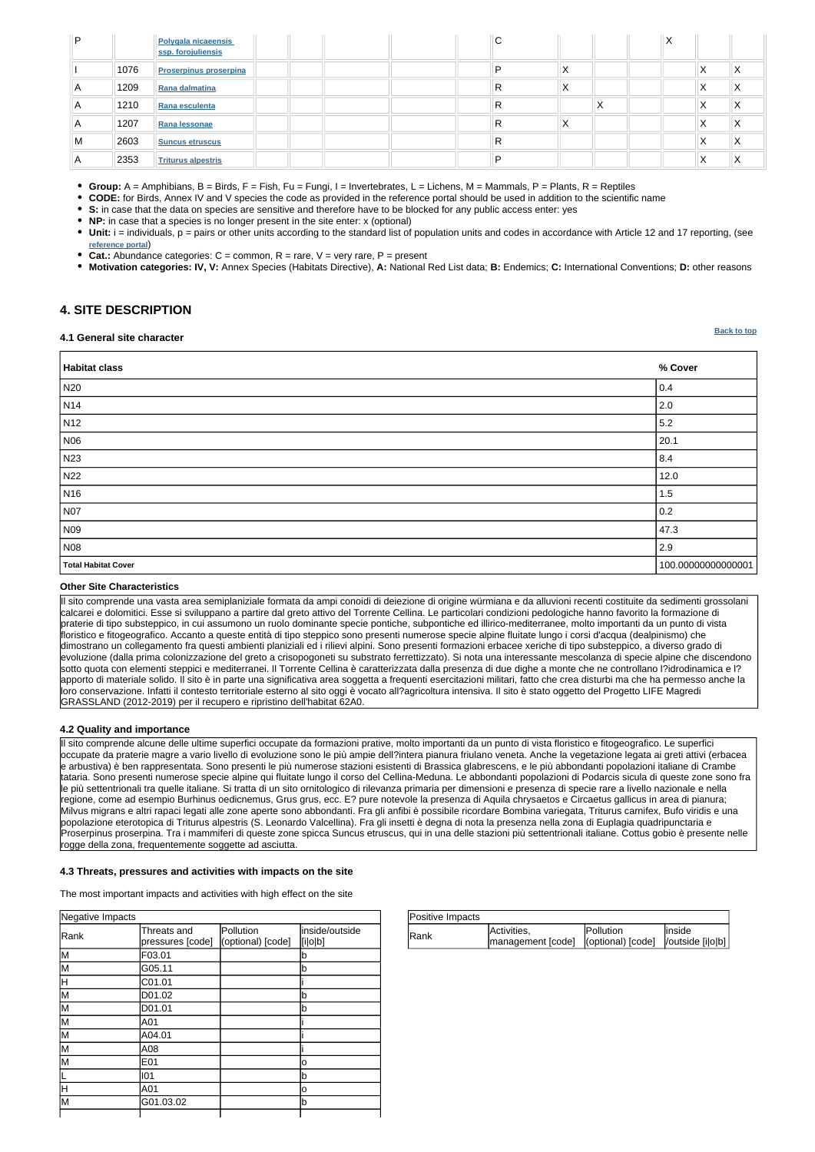| Positive Impacts |                                                           |           |         |
|------------------|-----------------------------------------------------------|-----------|---------|
| <b>IRank</b>     | Activities.                                               | Pollution | linside |
|                  | management [code]   (optional) [code]   / outside [i o b] |           |         |

| Negative Impacts |                                 |                                |                           |
|------------------|---------------------------------|--------------------------------|---------------------------|
| Rank             | Threats and<br>pressures [code] | Pollution<br>(optional) [code] | inside/outside<br>[i o b] |
| lм               | F03.01                          |                                | b                         |
| lм               | G05.11                          |                                | b                         |
| lΗ               | C01.01                          |                                |                           |
| M                | D01.02                          |                                | b                         |
| lМ               | D01.01                          |                                | b                         |
| lм               | A01                             |                                |                           |
| lм               | A04.01                          |                                |                           |
| lм               | A08                             |                                |                           |
| lм               | E01                             |                                | o                         |
|                  | 101                             |                                | b                         |
| lн               | A01                             |                                | o                         |
| lМ               | G01.03.02                       |                                | b                         |
|                  |                                 |                                |                           |

#### **[Back to top](#page-0-0)**

| ם ا            |      | Polygala nicaeensis<br>ssp. forojuliensis | C |   |        | $\mathbf{v}$<br>∧ |   |        |
|----------------|------|-------------------------------------------|---|---|--------|-------------------|---|--------|
|                | 1076 | <b>Proserpinus proserpina</b>             | D | ∧ |        |                   | ⌒ | Χ      |
| $\overline{A}$ | 1209 | Rana dalmatina                            | R | ⌒ |        |                   | ⌒ | X      |
| A              | 1210 | Rana esculenta                            | R |   | v<br>Λ |                   | ⌒ | X      |
| A              | 1207 | Rana lessonae                             | R | ∧ |        |                   | ↗ | Χ      |
| M              | 2603 | <b>Suncus etruscus</b>                    | R |   |        |                   | ⌒ | Χ      |
| A              | 2353 | <b>Triturus alpestris</b>                 | ם |   |        |                   | Λ | ν<br>↗ |

**Group:** A = Amphibians, B = Birds, F = Fish, Fu = Fungi, I = Invertebrates, L = Lichens, M = Mammals, P = Plants, R = Reptiles

**CODE:** for Birds, Annex IV and V species the code as provided in the reference portal should be used in addition to the scientific name

**S:** in case that the data on species are sensitive and therefore have to be blocked for any public access enter: yes

**NP:** in case that a species is no longer present in the site enter: x (optional)

**Unit:** i = individuals, p = pairs or other units according to the standard list of population units and codes in accordance with Article 12 and 17 reporting, (see **[reference portal](http://bd.eionet.europa.eu/activities/Natura_2000/reference_portal)**)

**Cat.:** Abundance categories:  $C =$  common,  $R =$  rare,  $V =$  very rare,  $P =$  present

**Motivation categories: IV, V:** Annex Species (Habitats Directive), **A:** National Red List data; **B:** Endemics; **C:** International Conventions; **D:** other reasons

### <span id="page-3-0"></span>**4. SITE DESCRIPTION**

#### **4.1 General site character**

**Habitat class % Cover** N20  $|0.4$ N14 2.0 N12  $\vert$  5.2 N06 20.1 N23  $|8.4$ N22 12.0 N16 1.5  $\,$  1.5  $\,$  1.5  $\,$  1.5  $\,$  1.5  $\,$  1.5  $\,$  1.5  $\,$  1.5  $\,$  1.5  $\,$  1.5  $\,$  1.5  $\,$  1.5  $\,$  1.5  $\,$  1.5  $\,$  1.5  $\,$  1.5  $\,$  1.5  $\,$  1.5  $\,$  1.5  $\,$  1.5  $\,$  1.5  $\,$  1.5  $\,$  1.5  $\,$  1.5  $\,$  1 N07 2012 2013 2014 2022 2023 2024 2022 2023 2024 2022 2023 2024 2022 2023 2024 2022 2023 2024 2022 2024 2022 20 N09 47.3 N08 2.9 **Total Habitat Cover** 100.00000000000001

#### **Other Site Characteristics**

Il sito comprende una vasta area semiplaniziale formata da ampi conoidi di deiezione di origine würmiana e da alluvioni recenti costituite da sedimenti grossolani calcarei e dolomitici. Esse si sviluppano a partire dal greto attivo del Torrente Cellina. Le particolari condizioni pedologiche hanno favorito la formazione di praterie di tipo substeppico, in cui assumono un ruolo dominante specie pontiche, subpontiche ed illirico-mediterranee, molto importanti da un punto di vista floristico e fitogeografico. Accanto a queste entità di tipo steppico sono presenti numerose specie alpine fluitate lungo i corsi d'acqua (dealpinismo) che dimostrano un collegamento fra questi ambienti planiziali ed i rilievi alpini. Sono presenti formazioni erbacee xeriche di tipo substeppico, a diverso grado di evoluzione (dalla prima colonizzazione del greto a crisopogoneti su substrato ferrettizzato). Si nota una interessante mescolanza di specie alpine che discendono sotto quota con elementi steppici e mediterranei. Il Torrente Cellina è caratterizzata dalla presenza di due dighe a monte che ne controllano l?idrodinamica e l? apporto di materiale solido. Il sito è in parte una significativa area soggetta a frequenti esercitazioni militari, fatto che crea disturbi ma che ha permesso anche la loro conservazione. Infatti il contesto territoriale esterno al sito oggi è vocato all?agricoltura intensiva. Il sito è stato oggetto del Progetto LIFE Magredi GRASSLAND (2012-2019) per il recupero e ripristino dell'habitat 62A0.

#### **4.2 Quality and importance**

Il sito comprende alcune delle ultime superfici occupate da formazioni prative, molto importanti da un punto di vista floristico e fitogeografico. Le superfici occupate da praterie magre a vario livello di evoluzione sono le più ampie dell?intera pianura friulano veneta. Anche la vegetazione legata ai greti attivi (erbacea e arbustiva) è ben rappresentata. Sono presenti le più numerose stazioni esistenti di Brassica glabrescens, e le più abbondanti popolazioni italiane di Crambe tataria. Sono presenti numerose specie alpine qui fluitate lungo il corso del Cellina-Meduna. Le abbondanti popolazioni di Podarcis sicula di queste zone sono fra le più settentrionali tra quelle italiane. Si tratta di un sito ornitologico di rilevanza primaria per dimensioni e presenza di specie rare a livello nazionale e nella regione, come ad esempio Burhinus oedicnemus, Grus grus, ecc. E? pure notevole la presenza di Aquila chrysaetos e Circaetus gallicus in area di pianura; Milvus migrans e altri rapaci legati alle zone aperte sono abbondanti. Fra gli anfibi è possibile ricordare Bombina variegata, Triturus carnifex, Bufo viridis e una popolazione eterotopica di Triturus alpestris (S. Leonardo Valcellina). Fra gli insetti è degna di nota la presenza nella zona di Euplagia quadripunctaria e Proserpinus proserpina. Tra i mammiferi di queste zone spicca Suncus etruscus, qui in una delle stazioni più settentrionali italiane. Cottus gobio è presente nelle rogge della zona, frequentemente soggette ad asciutta.

#### **4.3 Threats, pressures and activities with impacts on the site**

The most important impacts and activities with high effect on the site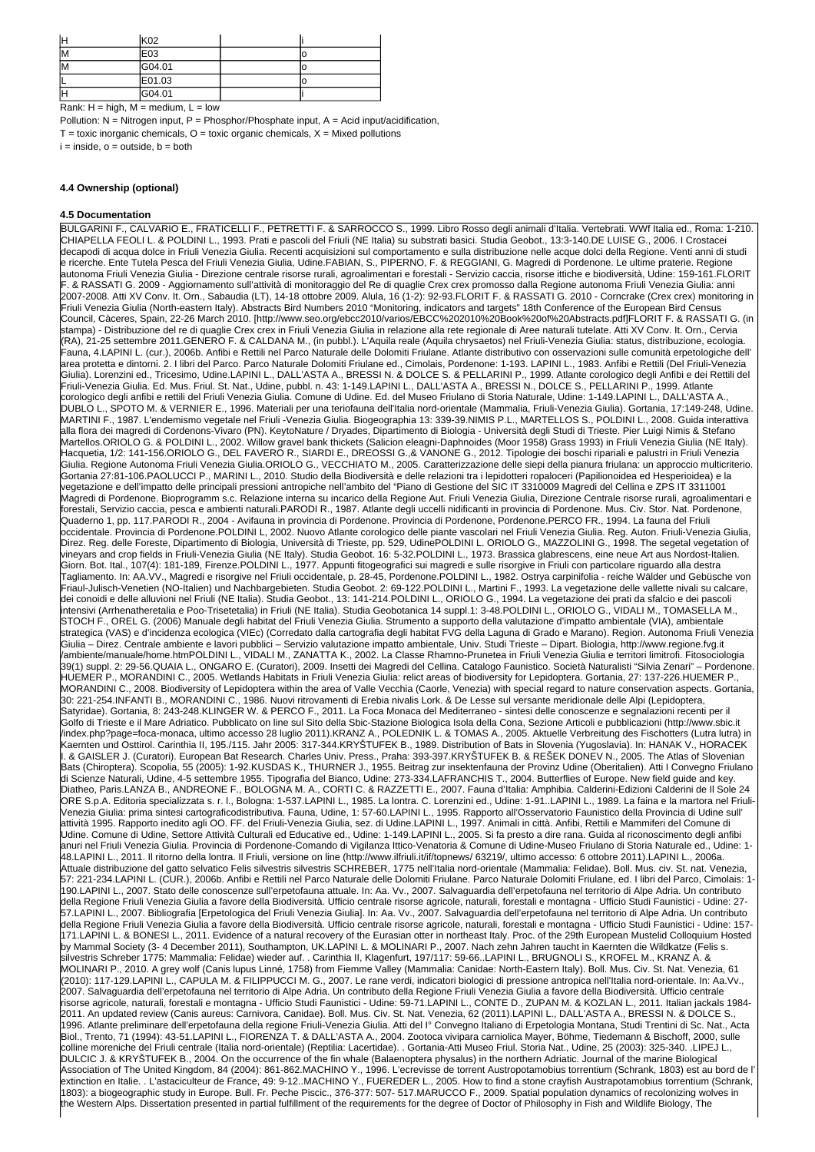| İН | K <sub>02</sub> |  |
|----|-----------------|--|
| ΙM | E03             |  |
| lМ | G04.01          |  |
|    | E01.03          |  |
| ⊩  | G04.01          |  |

Rank:  $H = high$ ,  $M = medium$ ,  $L = low$ 

Pollution:  $N =$  Nitrogen input, P = Phosphor/Phosphate input, A = Acid input/acidification,  $T =$  toxic inorganic chemicals,  $O =$  toxic organic chemicals,  $X =$  Mixed pollutions  $i = inside, o = outside, b = both$ 

### **4.4 Ownership (optional)**

#### **4.5 Documentation**

BULGARINI F., CALVARIO E., FRATICELLI F., PETRETTI F. & SARROCCO S., 1999. Libro Rosso degli animali d'Italia. Vertebrati. WWf Italia ed., Roma: 1-210. CHIAPELLA FEOLI L. & POLDINI L., 1993. Prati e pascoli del Friuli (NE Italia) su substrati basici. Studia Geobot., 13:3-140.DE LUISE G., 2006. I Crostacei decapodi di acqua dolce in Friuli Venezia Giulia. Recenti acquisizioni sul comportamento e sulla distribuzione nelle acque dolci della Regione. Venti anni di studi e ricerche. Ente Tutela Pesca del Friuli Venezia Giulia, Udine.FABIAN, S., PIPERNO, F. & REGGIANI, G. Magredi di Pordenone. Le ultime praterie. Regione autonoma Friuli Venezia Giulia - Direzione centrale risorse rurali, agroalimentari e forestali - Servizio caccia, risorse ittiche e biodiversità, Udine: 159-161.FLORIT F. & RASSATI G. 2009 - Aggiornamento sull'attività di monitoraggio del Re di quaglie Crex crex promosso dalla Regione autonoma Friuli Venezia Giulia: anni 2007-2008. Atti XV Conv. It. Orn., Sabaudia (LT), 14-18 ottobre 2009. Alula, 16 (1-2): 92-93.FLORIT F. & RASSATI G. 2010 - Corncrake (Crex crex) monitoring in Friuli Venezia Giulia (North-eastern Italy). Abstracts Bird Numbers 2010 "Monitoring, indicators and targets" 18th Conference of the European Bird Census Council, Càceres, Spain, 22-26 March 2010. [http://www.seo.org/ebcc2010/varios/EBCC%202010%20Book%20of%20Abstracts.pdf]FLORIT F. & RASSATI G. (in stampa) - Distribuzione del re di quaglie Crex crex in Friuli Venezia Giulia in relazione alla rete regionale di Aree naturali tutelate. Atti XV Conv. It. Orn., Cervia (RA), 21-25 settembre 2011.GENERO F. & CALDANA M., (in pubbl.). L'Aquila reale (Aquila chrysaetos) nel Friuli-Venezia Giulia: status, distribuzione, ecologia. Fauna, 4.LAPINI L. (cur.), 2006b. Anfibi e Rettili nel Parco Naturale delle Dolomiti Friulane. Atlante distributivo con osservazioni sulle comunità erpetologiche dell' area protetta e dintorni. 2. I libri del Parco. Parco Naturale Dolomiti Friulane ed., Cimolais, Pordenone: 1-193. LAPINI L., 1983. Anfibi e Rettili (Del Friuli-Venezia Giulia). Lorenzini ed., Tricesimo, Udine.LAPINI L., DALL'ASTA A., BRESSI N. & DOLCE S. & PELLARINI P., 1999. Atlante corologico degli Anfibi e dei Rettili del Friuli-Venezia Giulia. Ed. Mus. Friul. St. Nat., Udine, pubbl. n. 43: 1-149.LAPINI L., DALL'ASTA A., BRESSI N., DOLCE S., PELLARINI P., 1999. Atlante corologico degli anfibi e rettili del Friuli Venezia Giulia. Comune di Udine. Ed. del Museo Friulano di Storia Naturale, Udine: 1-149.LAPINI L., DALL'ASTA A., DUBLO L., SPOTO M. & VERNIER E., 1996. Materiali per una teriofauna dell'Italia nord-orientale (Mammalia, Friuli-Venezia Giulia). Gortania, 17:149-248, Udine. MARTINI F., 1987. L'endemismo vegetale nel Friuli -Venezia Giulia. Biogeographia 13: 339-39.NIMIS P.L., MARTELLOS S., POLDINI L., 2008. Guida interattiva alla flora dei magredi di Cordenons-Vivaro (PN). KeytoNature / Dryades, Dipartimento di Biologia - Università degli Studi di Trieste. Pier Luigi Nimis & Stefano Martellos.ORIOLO G. & POLDINI L., 2002. Willow gravel bank thickets (Salicion eleagni-Daphnoides (Moor 1958) Grass 1993) in Friuli Venezia Giulia (NE Italy). Hacquetia, 1/2: 141-156.ORIOLO G., DEL FAVERO R., SIARDI E., DREOSSI G.,& VANONE G., 2012. Tipologie dei boschi ripariali e palustri in Friuli Venezia Giulia. Regione Autonoma Friuli Venezia Giulia.ORIOLO G., VECCHIATO M., 2005. Caratterizzazione delle siepi della pianura friulana: un approccio multicriterio. Gortania 27:81-106.PAOLUCCI P., MARINI L., 2010. Studio della Biodiversità e delle relazioni tra i lepidotteri ropaloceri (Papilionoidea ed Hesperioidea) e la vegetazione e dell'impatto delle principali pressioni antropiche nell'ambito del "Piano di Gestione del SIC IT 3310009 Magredi del Cellina e ZPS IT 3311001 Magredi di Pordenone. Bioprogramm s.c. Relazione interna su incarico della Regione Aut. Friuli Venezia Giulia, Direzione Centrale risorse rurali, agroalimentari e forestali, Servizio caccia, pesca e ambienti naturali.PARODI R., 1987. Atlante degli uccelli nidificanti in provincia di Pordenone. Mus. Civ. Stor. Nat. Pordenone, Quaderno 1, pp. 117.PARODI R., 2004 - Avifauna in provincia di Pordenone. Provincia di Pordenone, Pordenone.PERCO FR., 1994. La fauna del Friuli occidentale. Provincia di Pordenone.POLDINI L, 2002. Nuovo Atlante corologico delle piante vascolari nel Friuli Venezia Giulia. Reg. Auton. Friuli-Venezia Giulia, Direz. Reg. delle Foreste, Dipartimento di Biologia, Università di Trieste, pp. 529, UdinePOLDINI L. ORIOLO G., MAZZOLINI G., 1998. The segetal vegetation of vineyars and crop fields in Friuli-Venezia Giulia (NE Italy). Studia Geobot. 16: 5-32.POLDINI L., 1973. Brassica glabrescens, eine neue Art aus Nordost-Italien. Giorn. Bot. Ital., 107(4): 181-189, Firenze.POLDINI L., 1977. Appunti fitogeografici sui magredi e sulle risorgive in Friuli con particolare riguardo alla destra Tagliamento. In: AA.VV., Magredi e risorgive nel Friuli occidentale, p. 28-45, Pordenone.POLDINI L., 1982. Ostrya carpinifolia - reiche Wälder und Gebüsche von Friaul-Julisch-Venetien (NO-Italien) und Nachbargebieten. Studia Geobot. 2: 69-122.POLDINI L., Martini F., 1993. La vegetazione delle vallette nivali su calcare, dei conoidi e delle alluvioni nel Friuli (NE Italia). Studia Geobot., 13: 141-214.POLDINI L., ORIOLO G., 1994. La vegetazione dei prati da sfalcio e dei pascoli intensivi (Arrhenatheretalia e Poo-Trisetetalia) in Friuli (NE Italia). Studia Geobotanica 14 suppl.1: 3-48.POLDINI L., ORIOLO G., VIDALI M., TOMASELLA M., STOCH F., OREL G. (2006) Manuale degli habitat del Friuli Venezia Giulia. Strumento a supporto della valutazione d'impatto ambientale (VIA), ambientale strategica (VAS) e d'incidenza ecologica (VIEc) (Corredato dalla cartografia degli habitat FVG della Laguna di Grado e Marano). Region. Autonoma Friuli Venezia Giulia – Direz. Centrale ambiente e lavori pubblici – Servizio valutazione impatto ambientale, Univ. Studi Trieste – Dipart. Biologia, http://www.regione.fvg.it /ambiente/manuale/home.htmPOLDINI L., VIDALI M., ZANATTA K., 2002. La Classe Rhamno-Prunetea in Friuli Venezia Giulia e territori limitrofi. Fitosociologia 39(1) suppl. 2: 29-56.QUAIA L., ONGARO E. (Curatori), 2009. Insetti dei Magredi del Cellina. Catalogo Faunistico. Società Naturalisti "Silvia Zenari" – Pordenone. HUEMER P., MORANDINI C., 2005. Wetlands Habitats in Friuli Venezia Giulia: relict areas of biodiversity for Lepidoptera. Gortania, 27: 137-226.HUEMER P., MORANDINI C., 2008. Biodiversity of Lepidoptera within the area of Valle Vecchia (Caorle, Venezia) with special regard to nature conservation aspects. Gortania, 30: 221-254.INFANTI B., MORANDINI C., 1986. Nuovi ritrovamenti di Erebia nivalis Lork. & De Lesse sul versante meridionale delle Alpi (Lepidoptera, Satyridae). Gortania, 8: 243-248.KLINGER W. & PERCO F., 2011. La Foca Monaca del Mediterraneo - sintesi delle conoscenze e segnalazioni recenti per il Golfo di Trieste e il Mare Adriatico. Pubblicato on line sul Sito della Sbic-Stazione Biologica Isola della Cona, Sezione Articoli e pubblicazioni (http://www.sbic.it /index.php?page=foca-monaca, ultimo accesso 28 luglio 2011).KRANZ A., POLEDNIK L. & TOMAS A., 2005. Aktuelle Verbreitung des Fischotters (Lutra lutra) in Kaernten und Osttirol. Carinthia II, 195./115. Jahr 2005: 317-344.KRYŠTUFEK B., 1989. Distribution of Bats in Slovenia (Yugoslavia). In: HANAK V., HORACEK I. & GAISLER J. (Curatori). European Bat Research. Charles Univ. Press., Praha: 393-397.KRYŠTUFEK B. & REŠEK DONEV N., 2005. The Atlas of Slovenian Bats (Chiroptera). Scopolia, 55 (2005): 1-92.KUSDAS K., THURNER J., 1955. Beitrag zur insektenfauna der Provinz Udine (Oberitalien). Atti I Convegno Friulano di Scienze Naturali, Udine, 4-5 settembre 1955. Tipografia del Bianco, Udine: 273-334.LAFRANCHIS T., 2004. Butterflies of Europe. New field guide and key. Diatheo, Paris.LANZA B., ANDREONE F., BOLOGNA M. A., CORTI C. & RAZZETTI E., 2007. Fauna d'Italia: Amphibia. Calderini-Edizioni Calderini de Il Sole 24 ORE S.p.A. Editoria specializzata s. r. l., Bologna: 1-537.LAPINI L., 1985. La lontra. C. Lorenzini ed., Udine: 1-91..LAPINI L., 1989. La faina e la martora nel Friuli-Venezia Giulia: prima sintesi cartograficodistributiva. Fauna, Udine, 1: 57-60.LAPINI L., 1995. Rapporto all'Osservatorio Faunistico della Provincia di Udine sull' attività 1995. Rapporto inedito agli OO. FF. del Friuli-Venezia Giulia, sez. di Udine.LAPINI L., 1997. Animali in città. Anfibi, Rettili e Mammiferi del Comune di Udine. Comune di Udine, Settore Attività Culturali ed Educative ed., Udine: 1-149.LAPINI L., 2005. Si fa presto a dire rana. Guida al riconoscimento degli anfibi anuri nel Friuli Venezia Giulia. Provincia di Pordenone-Comando di Vigilanza Ittico-Venatoria & Comune di Udine-Museo Friulano di Storia Naturale ed., Udine: 1- 48.LAPINI L., 2011. Il ritorno della lontra. Il Friuli, versione on line (http://www.ilfriuli.it/if/topnews/ 63219/, ultimo accesso: 6 ottobre 2011).LAPINI L., 2006a. Attuale distribuzione del gatto selvatico Felis silvestris silvestris SCHREBER, 1775 nell'Italia nord-orientale (Mammalia: Felidae). Boll. Mus. civ. St. nat. Venezia, 57: 221-234.LAPINI L. (CUR.), 2006b. Anfibi e Rettili nel Parco Naturale delle Dolomiti Friulane. Parco Naturale Dolomiti Friulane, ed. I libri del Parco, Cimolais: 1- 190.LAPINI L., 2007. Stato delle conoscenze sull'erpetofauna attuale. In: Aa. Vv., 2007. Salvaguardia dell'erpetofauna nel territorio di Alpe Adria. Un contributo della Regione Friuli Venezia Giulia a favore della Biodiversità. Ufficio centrale risorse agricole, naturali, forestali e montagna - Ufficio Studi Faunistici - Udine: 27- 57.LAPINI L., 2007. Bibliografia [Erpetologica del Friuli Venezia Giulia]. In: Aa. Vv., 2007. Salvaguardia dell'erpetofauna nel territorio di Alpe Adria. Un contributo della Regione Friuli Venezia Giulia a favore della Biodiversità. Ufficio centrale risorse agricole, naturali, forestali e montagna - Ufficio Studi Faunistici - Udine: 157- 171.LAPINI L. & BONESI L., 2011. Evidence of a natural recovery of the Eurasian otter in northeast Italy. Proc. of the 29th European Mustelid Colloquium Hosted by Mammal Society (3- 4 December 2011), Southampton, UK.LAPINI L. & MOLINARI P., 2007. Nach zehn Jahren taucht in Kaernten die Wildkatze (Felis s. silvestris Schreber 1775: Mammalia: Felidae) wieder auf. . Carinthia II, Klagenfurt, 197/117: 59-66..LAPINI L., BRUGNOLI S., KROFEL M., KRANZ A. & MOLINARI P., 2010. A grey wolf (Canis lupus Linné, 1758) from Fiemme Valley (Mammalia: Canidae: North-Eastern Italy). Boll. Mus. Civ. St. Nat. Venezia, 61 (2010): 117-129.LAPINI L., CAPULA M. & FILIPPUCCI M. G., 2007. Le rane verdi, indicatori biologici di pressione antropica nell'Italia nord-orientale. In: Aa.Vv., 2007. Salvaguardia dell'erpetofauna nel territorio di Alpe Adria. Un contributo della Regione Friuli Venezia Giulia a favore della Biodiversità. Ufficio centrale risorse agricole, naturali, forestali e montagna - Ufficio Studi Faunistici - Udine: 59-71.LAPINI L., CONTE D., ZUPAN M. & KOZLAN L., 2011. Italian jackals 1984- 2011. An updated review (Canis aureus: Carnivora, Canidae). Boll. Mus. Civ. St. Nat. Venezia, 62 (2011).LAPINI L., DALL'ASTA A., BRESSI N. & DOLCE S., 1996. Atlante preliminare dell'erpetofauna della regione Friuli-Venezia Giulia. Atti del I° Convegno Italiano di Erpetologia Montana, Studi Trentini di Sc. Nat., Acta Biol., Trento, 71 (1994): 43-51.LAPINI L., FIORENZA T. & DALL'ASTA A., 2004. Zootoca vivipara carniolica Mayer, Böhme, Tiedemann & Bischoff, 2000, sulle colline moreniche del Friuli centrale (Italia nord-orientale) (Reptilia: Lacertidae). . Gortania-Atti Museo Friul. Storia Nat., Udine, 25 (2003): 325-340. .LIPEJ L., DULCIC J. & KRYŠTUFEK B., 2004. On the occurrence of the fin whale (Balaenoptera physalus) in the northern Adriatic. Journal of the marine Biological Association of The United Kingdom, 84 (2004): 861-862.MACHINO Y., 1996. L'ecrevisse de torrent Austropotamobius torrentium (Schrank, 1803) est au bord de l' extinction en Italie. . L'astaciculteur de France, 49: 9-12..MACHINO Y., FUEREDER L., 2005. How to find a stone crayfish Austrapotamobius torrentium (Schrank, 1803): a biogeographic study in Europe. Bull. Fr. Peche Piscic., 376-377: 507- 517.MARUCCO F., 2009. Spatial population dynamics of recolonizing wolves in the Western Alps. Dissertation presented in partial fulfillment of the requirements for the degree of Doctor of Philosophy in Fish and Wildlife Biology, The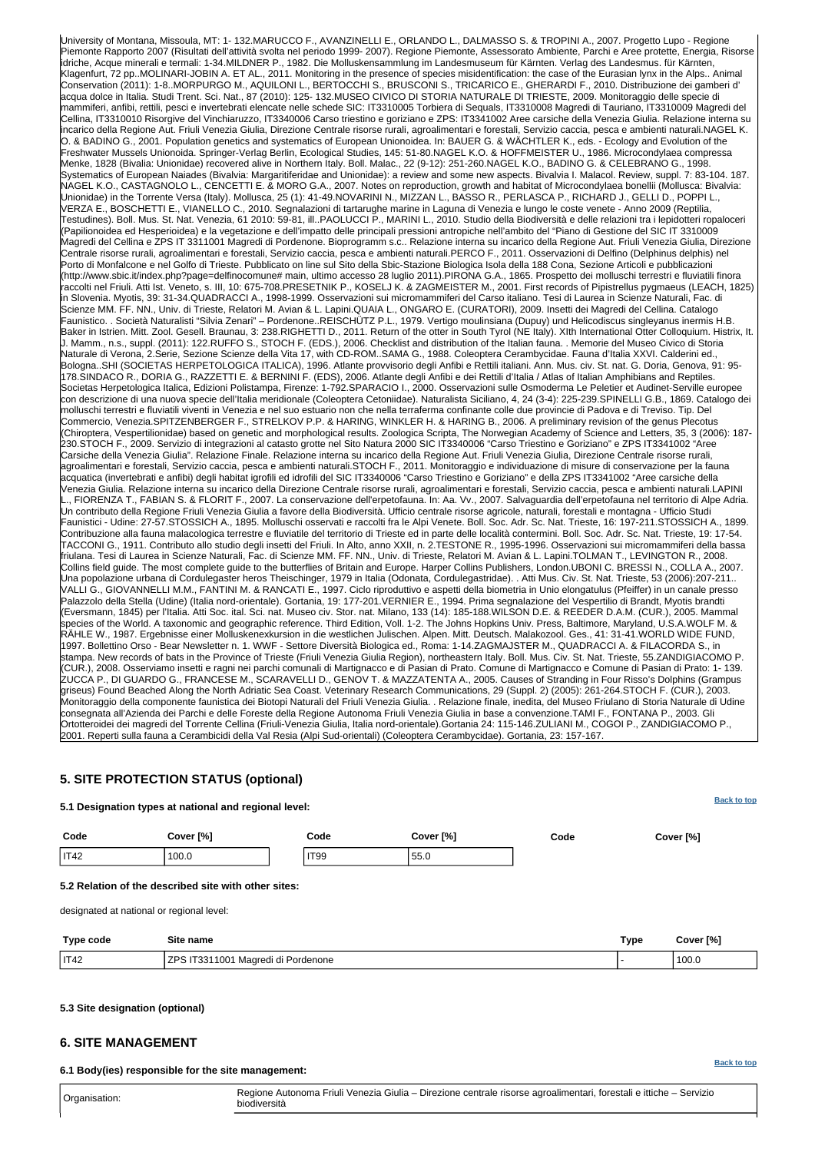#### **[Back to top](#page-0-0)**

**[Back to top](#page-0-0)**

University of Montana, Missoula, MT: 1- 132.MARUCCO F., AVANZINELLI E., ORLANDO L., DALMASSO S. & TROPINI A., 2007. Progetto Lupo - Regione Piemonte Rapporto 2007 (Risultati dell'attività svolta nel periodo 1999- 2007). Regione Piemonte, Assessorato Ambiente, Parchi e Aree protette, Energia, Risorse idriche, Acque minerali e termali: 1-34.MILDNER P., 1982. Die Molluskensammlung im Landesmuseum für Kärnten. Verlag des Landesmus. für Kärnten, Klagenfurt, 72 pp..MOLINARI-JOBIN A. ET AL., 2011. Monitoring in the presence of species misidentification: the case of the Eurasian lynx in the Alps.. Animal Conservation (2011): 1-8..MORPURGO M., AQUILONI L., BERTOCCHI S., BRUSCONI S., TRICARICO E., GHERARDI F., 2010. Distribuzione dei gamberi d' acqua dolce in Italia. Studi Trent. Sci. Nat., 87 (2010): 125- 132.MUSEO CIVICO DI STORIA NATURALE DI TRIESTE, 2009. Monitoraggio delle specie di mammiferi, anfibi, rettili, pesci e invertebrati elencate nelle schede SIC: IT3310005 Torbiera di Sequals, IT3310008 Magredi di Tauriano, IT3310009 Magredi del Cellina, IT3310010 Risorgive del Vinchiaruzzo, IT3340006 Carso triestino e goriziano e ZPS: IT3341002 Aree carsiche della Venezia Giulia. Relazione interna su incarico della Regione Aut. Friuli Venezia Giulia, Direzione Centrale risorse rurali, agroalimentari e forestali, Servizio caccia, pesca e ambienti naturali.NAGEL K. O. & BADINO G., 2001. Population genetics and systematics of European Unionoidea. In: BAUER G. & WÄCHTLER K., eds. - Ecology and Evolution of the Freshwater Mussels Unionoida. Springer-Verlag Berlin, Ecological Studies, 145: 51-80.NAGEL K.O. & HOFFMEISTER U., 1986. Microcondylaea compressa Menke, 1828 (Bivalia: Unionidae) recovered alive in Northern Italy. Boll. Malac., 22 (9-12): 251-260.NAGEL K.O., BADINO G. & CELEBRANO G., 1998. Systematics of European Naiades (Bivalvia: Margaritiferidae and Unionidae): a review and some new aspects. Bivalvia I. Malacol. Review, suppl. 7: 83-104. 187. NAGEL K.O., CASTAGNOLO L., CENCETTI E. & MORO G.A., 2007. Notes on reproduction, growth and habitat of Microcondylaea bonellii (Mollusca: Bivalvia: Unionidae) in the Torrente Versa (Italy). Mollusca, 25 (1): 41-49.NOVARINI N., MIZZAN L., BASSO R., PERLASCA P., RICHARD J., GELLI D., POPPI L., VERZA E., BOSCHETTI E., VIANELLO C., 2010. Segnalazioni di tartarughe marine in Laguna di Venezia e lungo le coste venete - Anno 2009 (Reptilia, Testudines). Boll. Mus. St. Nat. Venezia, 61 2010: 59-81, ill..PAOLUCCI P., MARINI L., 2010. Studio della Biodiversità e delle relazioni tra i lepidotteri ropaloceri (Papilionoidea ed Hesperioidea) e la vegetazione e dell'impatto delle principali pressioni antropiche nell'ambito del "Piano di Gestione del SIC IT 3310009 Magredi del Cellina e ZPS IT 3311001 Magredi di Pordenone. Bioprogramm s.c.. Relazione interna su incarico della Regione Aut. Friuli Venezia Giulia, Direzione Centrale risorse rurali, agroalimentari e forestali, Servizio caccia, pesca e ambienti naturali.PERCO F., 2011. Osservazioni di Delfino (Delphinus delphis) nel Porto di Monfalcone e nel Golfo di Trieste. Pubblicato on line sul Sito della Sbic-Stazione Biologica Isola della 188 Cona, Sezione Articoli e pubblicazioni (http://www.sbic.it/index.php?page=delfinocomune# main, ultimo accesso 28 luglio 2011).PIRONA G.A., 1865. Prospetto dei molluschi terrestri e fluviatili finora raccolti nel Friuli. Atti Ist. Veneto, s. III, 10: 675-708.PRESETNIK P., KOSELJ K. & ZAGMEISTER M., 2001. First records of Pipistrellus pygmaeus (LEACH, 1825) in Slovenia. Myotis, 39: 31-34.QUADRACCI A., 1998-1999. Osservazioni sui micromammiferi del Carso italiano. Tesi di Laurea in Scienze Naturali, Fac. di Scienze MM. FF. NN., Univ. di Trieste, Relatori M. Avian & L. Lapini.QUAIA L., ONGARO E. (CURATORI), 2009. Insetti dei Magredi del Cellina. Catalogo Faunistico. . Società Naturalisti "Silvia Zenari" – Pordenone..REISCHÜTZ P.L., 1979. Vertigo moulinsiana (Dupuy) und Helicodiscus singleyanus inermis H.B. Baker in Istrien. Mitt. Zool. Gesell. Braunau, 3: 238.RIGHETTI D., 2011. Return of the otter in South Tyrol (NE Italy). XIth International Otter Colloquium. Histrix, It. J. Mamm., n.s., suppl. (2011): 122.RUFFO S., STOCH F. (EDS.), 2006. Checklist and distribution of the Italian fauna. . Memorie del Museo Civico di Storia Naturale di Verona, 2.Serie, Sezione Scienze della Vita 17, with CD-ROM..SAMA G., 1988. Coleoptera Cerambycidae. Fauna d'Italia XXVI. Calderini ed., Bologna..SHI (SOCIETAS HERPETOLOGICA ITALICA), 1996. Atlante provvisorio degli Anfibi e Rettili italiani. Ann. Mus. civ. St. nat. G. Doria, Genova, 91: 95- 178.SINDACO R., DORIA G., RAZZETTI E. & BERNINI F. (EDS), 2006. Atlante degli Anfibi e dei Rettili d'Italia / Atlas of Italian Amphibians and Reptiles. Societas Herpetologica Italica, Edizioni Polistampa, Firenze: 1-792.SPARACIO I., 2000. Osservazioni sulle Osmoderma Le Peletier et Audinet-Serville europee con descrizione di una nuova specie dell'Italia meridionale (Coleoptera Cetoniidae). Naturalista Siciliano, 4, 24 (3-4): 225-239.SPINELLI G.B., 1869. Catalogo dei molluschi terrestri e fluviatili viventi in Venezia e nel suo estuario non che nella terraferma confinante colle due provincie di Padova e di Treviso. Tip. Del Commercio, Venezia.SPITZENBERGER F., STRELKOV P.P. & HARING, WINKLER H. & HARING B., 2006. A preliminary revision of the genus Plecotus (Chiroptera, Vespertilionidae) based on genetic and morphological results. Zoologica Scripta, The Norwegian Academy of Science and Letters, 35, 3 (2006): 187- 230.STOCH F., 2009. Servizio di integrazioni al catasto grotte nel Sito Natura 2000 SIC IT3340006 "Carso Triestino e Goriziano" e ZPS IT3341002 "Aree Carsiche della Venezia Giulia". Relazione Finale. Relazione interna su incarico della Regione Aut. Friuli Venezia Giulia, Direzione Centrale risorse rurali, agroalimentari e forestali, Servizio caccia, pesca e ambienti naturali.STOCH F., 2011. Monitoraggio e individuazione di misure di conservazione per la fauna acquatica (invertebrati e anfibi) degli habitat igrofili ed idrofili del SIC IT3340006 "Carso Triestino e Goriziano" e della ZPS IT3341002 "Aree carsiche della Venezia Giulia. Relazione interna su incarico della Direzione Centrale risorse rurali, agroalimentari e forestali, Servizio caccia, pesca e ambienti naturali.LAPINI .., FIORENZA T., FABIAN S. & FLORIT F., 2007. La conservazione dell'erpetofauna. In: Aa. Vv., 2007. Salvaguardia dell'erpetofauna nel territorio di Alpe Adria. Un contributo della Regione Friuli Venezia Giulia a favore della Biodiversità. Ufficio centrale risorse agricole, naturali, forestali e montagna - Ufficio Studi Faunistici - Udine: 27-57.STOSSICH A., 1895. Molluschi osservati e raccolti fra le Alpi Venete. Boll. Soc. Adr. Sc. Nat. Trieste, 16: 197-211.STOSSICH A., 1899. Contribuzione alla fauna malacologica terrestre e fluviatile del territorio di Trieste ed in parte delle località contermini. Boll. Soc. Adr. Sc. Nat. Trieste, 19: 17-54. TACCONI G., 1911. Contributo allo studio degli insetti del Friuli. In Alto, anno XXII, n. 2.TESTONE R., 1995-1996. Osservazioni sui micromammiferi della bassa friulana. Tesi di Laurea in Scienze Naturali, Fac. di Scienze MM. FF. NN., Univ. di Trieste, Relatori M. Avian & L. Lapini.TOLMAN T., LEVINGTON R., 2008. Collins field guide. The most complete guide to the butterflies of Britain and Europe. Harper Collins Publishers, London.UBONI C. BRESSI N., COLLA A., 2007. Una popolazione urbana di Cordulegaster heros Theischinger, 1979 in Italia (Odonata, Cordulegastridae). . Atti Mus. Civ. St. Nat. Trieste, 53 (2006):207-211.. VALLI G., GIOVANNELLI M.M., FANTINI M. & RANCATI E., 1997. Ciclo riproduttivo e aspetti della biometria in Unio elongatulus (Pfeiffer) in un canale presso Palazzolo della Stella (Udine) (Italia nord-orientale). Gortania, 19: 177-201.VERNIER E., 1994. Prima segnalazione del Vespertilio di Brandt, Myotis brandti (Eversmann, 1845) per l'Italia. Atti Soc. ital. Sci. nat. Museo civ. Stor. nat. Milano, 133 (14): 185-188.WILSON D.E. & REEDER D.A.M. (CUR.), 2005. Mammal species of the World. A taxonomic and geographic reference. Third Edition, Voll. 1-2. The Johns Hopkins Univ. Press, Baltimore, Maryland, U.S.A.WOLF M. & RÄHLE W., 1987. Ergebnisse einer Molluskenexkursion in die westlichen Julischen. Alpen. Mitt. Deutsch. Malakozool. Ges., 41: 31-41.WORLD WIDE FUND, 1997. Bollettino Orso - Bear Newsletter n. 1. WWF - Settore Diversità Biologica ed., Roma: 1-14.ZAGMAJSTER M., QUADRACCI A. & FILACORDA S., in stampa. New records of bats in the Province of Trieste (Friuli Venezia Giulia Region), northeastern Italy. Boll. Mus. Civ. St. Nat. Trieste, 55.ZANDIGIACOMO P. (CUR.), 2008. Osserviamo insetti e ragni nei parchi comunali di Martignacco e di Pasian di Prato. Comune di Martignacco e Comune di Pasian di Prato: 1- 139. ZUCCA P., DI GUARDO G., FRANCESE M., SCARAVELLI D., GENOV T. & MAZZATENTA A., 2005. Causes of Stranding in Four Risso's Dolphins (Grampus griseus) Found Beached Along the North Adriatic Sea Coast. Veterinary Research Communications, 29 (Suppl. 2) (2005): 261-264.STOCH F. (CUR.), 2003. Monitoraggio della componente faunistica dei Biotopi Naturali del Friuli Venezia Giulia. . Relazione finale, inedita, del Museo Friulano di Storia Naturale di Udine consegnata all'Azienda dei Parchi e delle Foreste della Regione Autonoma Friuli Venezia Giulia in base a convenzione.TAMI F., FONTANA P., 2003. Gli Ortotteroidei dei magredi del Torrente Cellina (Friuli-Venezia Giulia, Italia nord-orientale).Gortania 24: 115-146.ZULIANI M., COGOI P., ZANDIGIACOMO P., 2001. Reperti sulla fauna a Cerambicidi della Val Resia (Alpi Sud-orientali) (Coleoptera Cerambycidae). Gortania, 23: 157-167.

### <span id="page-5-0"></span>**5. SITE PROTECTION STATUS (optional)**

#### **5.1 Designation types at national and regional level:**

| Code | Cover [%] | Code        | Cover [%] | Code | Cover [%] |
|------|-----------|-------------|-----------|------|-----------|
| IT42 | 100.0     | <b>IT99</b> | 55.0      |      |           |

#### **5.2 Relation of the described site with other sites:**

designated at national or regional level:

| <b>Type code</b> | Site name                                                       | Type | Cover [%] |
|------------------|-----------------------------------------------------------------|------|-----------|
| IT42             | . 7DC<br>IT3311001<br>. .<br>'i Pordenone<br>Magredi di<br>۱۱ ت |      | 100.0     |

#### <span id="page-5-1"></span>**5.3 Site designation (optional)**

### **6. SITE MANAGEMENT**

**6.1 Body(ies) responsible for the site management:**

Organisation: Regione Autonoma Friuli Venezia Giulia – Direzione centrale risorse agroalimentari, forestali e ittiche – Servizio biodiversità